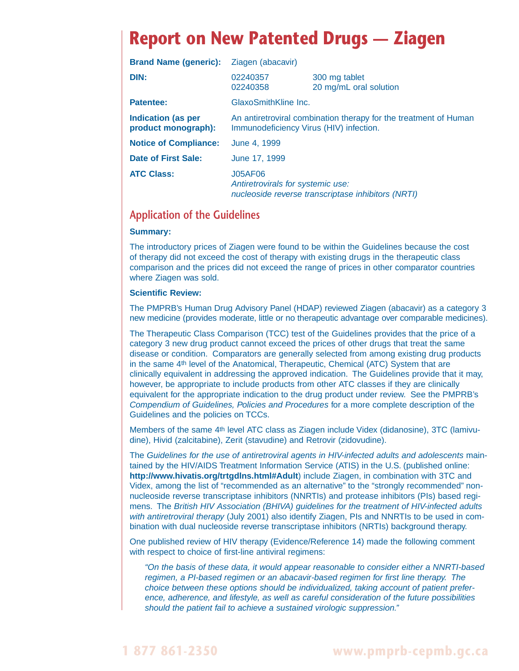## **Report on New Patented Drugs — Ziagen**

| <b>Brand Name (generic):</b>                     | Ziagen (abacavir)                                                                                           |                                                    |  |
|--------------------------------------------------|-------------------------------------------------------------------------------------------------------------|----------------------------------------------------|--|
| DIN:                                             | 02240357<br>02240358                                                                                        | 300 mg tablet<br>20 mg/mL oral solution            |  |
| <b>Patentee:</b>                                 | GlaxoSmithKline Inc.                                                                                        |                                                    |  |
| <b>Indication (as per</b><br>product monograph): | An antiretroviral combination therapy for the treatment of Human<br>Immunodeficiency Virus (HIV) infection. |                                                    |  |
| <b>Notice of Compliance:</b>                     | June 4, 1999                                                                                                |                                                    |  |
| Date of First Sale:                              | June 17, 1999                                                                                               |                                                    |  |
| <b>ATC Class:</b>                                | <b>J05AF06</b><br>Antiretrovirals for systemic use:                                                         | nucleoside reverse transcriptase inhibitors (NRTI) |  |

## **Application of the Guidelines**

## **Summary:**

The introductory prices of Ziagen were found to be within the Guidelines because the cost of therapy did not exceed the cost of therapy with existing drugs in the therapeutic class comparison and the prices did not exceed the range of prices in other comparator countries where Ziagen was sold.

## **Scientific Review:**

The PMPRB's Human Drug Advisory Panel (HDAP) reviewed Ziagen (abacavir) as a category 3 new medicine (provides moderate, little or no therapeutic advantage over comparable medicines).

The Therapeutic Class Comparison (TCC) test of the Guidelines provides that the price of a category 3 new drug product cannot exceed the prices of other drugs that treat the same disease or condition. Comparators are generally selected from among existing drug products in the same 4th level of the Anatomical, Therapeutic, Chemical (ATC) System that are clinically equivalent in addressing the approved indication. The Guidelines provide that it may, however, be appropriate to include products from other ATC classes if they are clinically equivalent for the appropriate indication to the drug product under review. See the PMPRB's Compendium of Guidelines, Policies and Procedures for a more complete description of the Guidelines and the policies on TCCs.

Members of the same 4th level ATC class as Ziagen include Videx (didanosine), 3TC (lamivudine), Hivid (zalcitabine), Zerit (stavudine) and Retrovir (zidovudine).

The Guidelines for the use of antiretroviral agents in HIV-infected adults and adolescents maintained by the HIV/AIDS Treatment Information Service (ATIS) in the U.S. (published online: **<http://www.hivatis.org/trtgdlns.html#Adult>**) include Ziagen, in combination with 3TC and Videx, among the list of "recommended as an alternative" to the "strongly recommended" nonnucleoside reverse transcriptase inhibitors (NNRTIs) and protease inhibitors (PIs) based regimens. The British HIV Association (BHIVA) guidelines for the treatment of HIV-infected adults with antiretroviral therapy (July 2001) also identify Ziagen, PIs and NNRTIs to be used in combination with dual nucleoside reverse transcriptase inhibitors (NRTIs) background therapy.

One published review of HIV therapy (Evidence/Reference 14) made the following comment with respect to choice of first-line antiviral regimens:

"On the basis of these data, it would appear reasonable to consider either a NNRTI-based regimen, a PI-based regimen or an abacavir-based regimen for first line therapy. The choice between these options should be individualized, taking account of patient preference, adherence, and lifestyle, as well as careful consideration of the future possibilities should the patient fail to achieve a sustained virologic suppression."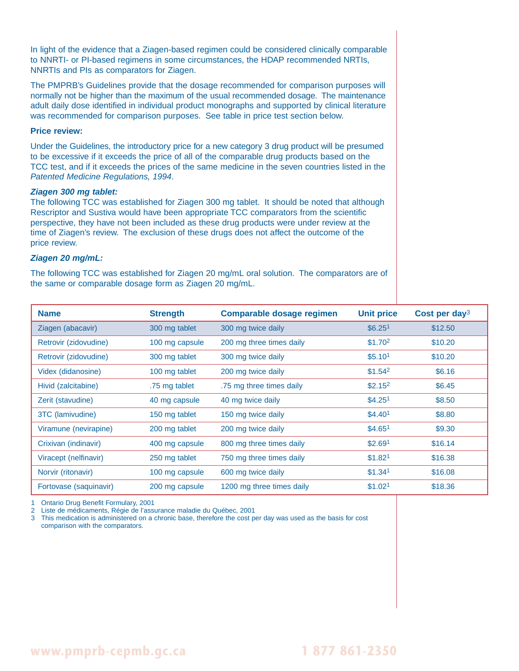In light of the evidence that a Ziagen-based regimen could be considered clinically comparable to NNRTI- or PI-based regimens in some circumstances, the HDAP recommended NRTIs, NNRTIs and PIs as comparators for Ziagen.

The PMPRB's Guidelines provide that the dosage recommended for comparison purposes will normally not be higher than the maximum of the usual recommended dosage. The maintenance adult daily dose identified in individual product monographs and supported by clinical literature was recommended for comparison purposes. See table in price test section below.

## **Price review:**

Under the Guidelines, the introductory price for a new category 3 drug product will be presumed to be excessive if it exceeds the price of all of the comparable drug products based on the TCC test, and if it exceeds the prices of the same medicine in the seven countries listed in the Patented Medicine Regulations, 1994.

### **Ziagen 300 mg tablet:**

The following TCC was established for Ziagen 300 mg tablet. It should be noted that although Rescriptor and Sustiva would have been appropriate TCC comparators from the scientific perspective, they have not been included as these drug products were under review at the time of Ziagen's review. The exclusion of these drugs does not affect the outcome of the price review.

## **Ziagen 20 mg/mL:**

The following TCC was established for Ziagen 20 mg/mL oral solution. The comparators are of the same or comparable dosage form as Ziagen 20 mg/mL.

| <b>Name</b>            | <b>Strength</b> | Comparable dosage regimen | <b>Unit price</b>   | Cost per day <sup>3</sup> |
|------------------------|-----------------|---------------------------|---------------------|---------------------------|
| Ziagen (abacavir)      | 300 mg tablet   | 300 mg twice daily        | \$6.25 <sup>1</sup> | \$12.50                   |
| Retrovir (zidovudine)  | 100 mg capsule  | 200 mg three times daily  | \$1.702             | \$10.20                   |
| Retrovir (zidovudine)  | 300 mg tablet   | 300 mg twice daily        | \$5.10 <sup>1</sup> | \$10.20                   |
| Videx (didanosine)     | 100 mg tablet   | 200 mg twice daily        | \$1.54 <sup>2</sup> | \$6.16                    |
| Hivid (zalcitabine)    | .75 mg tablet   | .75 mg three times daily  | \$2.15 <sup>2</sup> | \$6.45                    |
| Zerit (stavudine)      | 40 mg capsule   | 40 mg twice daily         | \$4.25 <sup>1</sup> | \$8.50                    |
| 3TC (lamivudine)       | 150 mg tablet   | 150 mg twice daily        | \$4.40 <sup>1</sup> | \$8.80                    |
| Viramune (nevirapine)  | 200 mg tablet   | 200 mg twice daily        | \$4.65 <sup>1</sup> | \$9.30                    |
| Crixivan (indinavir)   | 400 mg capsule  | 800 mg three times daily  | \$2.69 <sup>1</sup> | \$16.14                   |
| Viracept (nelfinavir)  | 250 mg tablet   | 750 mg three times daily  | \$1.82 <sup>1</sup> | \$16.38                   |
| Norvir (ritonavir)     | 100 mg capsule  | 600 mg twice daily        | \$1.341             | \$16.08                   |
| Fortovase (saquinavir) | 200 mg capsule  | 1200 mg three times daily | \$1.02 <sup>1</sup> | \$18.36                   |

1 Ontario Drug Benefit Formulary, 2001

2 Liste de médicaments, Régie de l'assurance maladie du Québec, 2001

3 This medication is administered on a chronic base, therefore the cost per day was used as the basis for cost comparison with the comparators.